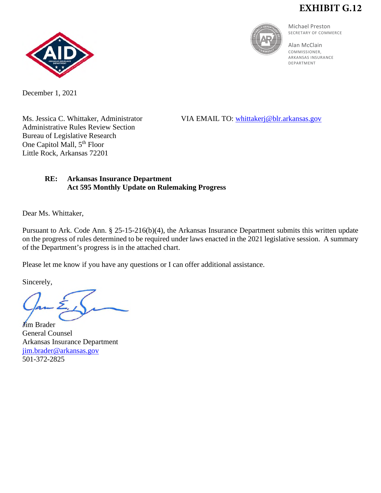## **EXHIBIT G.12**



Michael Preston SECRETARY OF COMMERCE

Alan McClain COMMISSIONER, ARKANSAS INSURANCE DEPARTMENT



December 1, 2021

Administrative Rules Review Section Bureau of Legislative Research One Capitol Mall, 5<sup>th</sup> Floor Little Rock, Arkansas 72201

Ms. Jessica C. Whittaker, Administrator VIA EMAIL TO: [whittakerj@blr.arkansas.gov](mailto:whittakerj@blr.arkansas.gov)

## **RE: Arkansas Insurance Department Act 595 Monthly Update on Rulemaking Progress**

Dear Ms. Whittaker,

Pursuant to Ark. Code Ann. § 25-15-216(b)(4), the Arkansas Insurance Department submits this written update on the progress of rules determined to be required under laws enacted in the 2021 legislative session. A summary of the Department's progress is in the attached chart.

Please let me know if you have any questions or I can offer additional assistance.

Sincerely,

**J**im Brader General Counsel Arkansas Insurance Department [jim.brader@arkansas.gov](mailto:jim.brader@arkansas.gov) 501-372-2825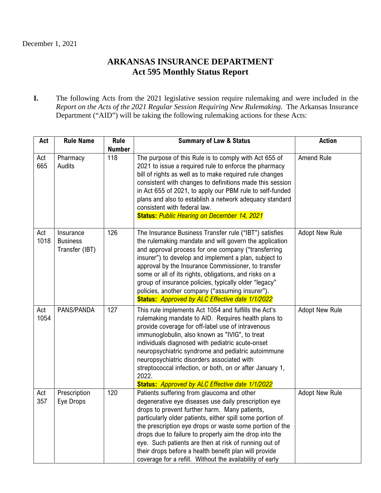## **ARKANSAS INSURANCE DEPARTMENT Act 595 Monthly Status Report**

**I.** The following Acts from the 2021 legislative session require rulemaking and were included in the *Report on the Acts of the 2021 Regular Session Requiring New Rulemaking.* The Arkansas Insurance Department ("AID") will be taking the following rulemaking actions for these Acts:

| Act         | <b>Rule Name</b>                               | <b>Rule</b>          | <b>Summary of Law &amp; Status</b>                                                                                                                                                                                                                                                                                                                                                                                                                                                                                  | <b>Action</b>         |
|-------------|------------------------------------------------|----------------------|---------------------------------------------------------------------------------------------------------------------------------------------------------------------------------------------------------------------------------------------------------------------------------------------------------------------------------------------------------------------------------------------------------------------------------------------------------------------------------------------------------------------|-----------------------|
| Act<br>665  | Pharmacy<br>Audits                             | <b>Number</b><br>118 | The purpose of this Rule is to comply with Act 655 of<br>2021 to issue a required rule to enforce the pharmacy<br>bill of rights as well as to make required rule changes<br>consistent with changes to definitions made this session<br>in Act 655 of 2021, to apply our PBM rule to self-funded<br>plans and also to establish a network adequacy standard<br>consistent with federal law.<br><b>Status: Public Hearing on December 14, 2021</b>                                                                  | Amend Rule            |
| Act<br>1018 | Insurance<br><b>Business</b><br>Transfer (IBT) | 126                  | The Insurance Business Transfer rule ("IBT") satisfies<br>the rulemaking mandate and will govern the application<br>and approval process for one company ("transferring<br>insurer") to develop and implement a plan, subject to<br>approval by the Insurance Commissioner, to transfer<br>some or all of its rights, obligations, and risks on a<br>group of insurance policies, typically older "legacy"<br>policies, another company ("assuming insurer").<br>Status: Approved by ALC Effective date 1/1/2022    | <b>Adopt New Rule</b> |
| Act<br>1054 | PANS/PANDA                                     | 127                  | This rule implements Act 1054 and fulfills the Act's<br>rulemaking mandate to AID. Requires health plans to<br>provide coverage for off-label use of intravenous<br>immunoglobulin, also known as "IVIG", to treat<br>individuals diagnosed with pediatric acute-onset<br>neuropsychiatric syndrome and pediatric autoimmune<br>neuropsychiatric disorders associated with<br>streptococcal infection, or both, on or after January 1,<br>2022.<br>Status: Approved by ALC Effective date 1/1/2022                  | <b>Adopt New Rule</b> |
| Act<br>357  | Prescription<br>Eye Drops                      | 120                  | Patients suffering from glaucoma and other<br>degenerative eye diseases use daily prescription eye<br>drops to prevent further harm. Many patients,<br>particularly older patients, either spill some portion of<br>the prescription eye drops or waste some portion of the<br>drops due to failure to properly aim the drop into the<br>eye. Such patients are then at risk of running out of<br>their drops before a health benefit plan will provide<br>coverage for a refill. Without the availability of early | <b>Adopt New Rule</b> |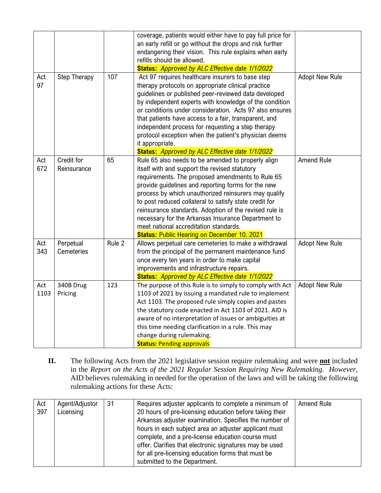|             |                           |        | coverage, patients would either have to pay full price for<br>an early refill or go without the drops and risk further<br>endangering their vision. This rule explains when early<br>refills should be allowed.<br>Status: Approved by ALC Effective date 1/1/2022                                                                                                                                                                                                                                                                              |                       |
|-------------|---------------------------|--------|-------------------------------------------------------------------------------------------------------------------------------------------------------------------------------------------------------------------------------------------------------------------------------------------------------------------------------------------------------------------------------------------------------------------------------------------------------------------------------------------------------------------------------------------------|-----------------------|
| Act<br>97   | Step Therapy              | 107    | Act 97 requires healthcare insurers to base step<br>therapy protocols on appropriate clinical practice<br>guidelines or published peer-reviewed data developed<br>by independent experts with knowledge of the condition<br>or conditions under consideration. Acts 97 also ensures<br>that patients have access to a fair, transparent, and<br>independent process for requesting a step therapy<br>protocol exception when the patient's physician deems<br>it appropriate.<br>Status: Approved by ALC Effective date 1/1/2022                | <b>Adopt New Rule</b> |
| Act<br>672  | Credit for<br>Reinsurance | 65     | Rule 65 also needs to be amended to properly align<br>itself with and support the revised statutory<br>requirements. The proposed amendments to Rule 65<br>provide guidelines and reporting forms for the new<br>process by which unauthorized reinsurers may qualify<br>to post reduced collateral to satisfy state credit for<br>reinsurance standards. Adoption of the revised rule is<br>necessary for the Arkansas Insurance Department to<br>meet national accreditation standards.<br><b>Status: Public Hearing on December 10. 2021</b> | Amend Rule            |
| Act<br>343  | Perpetual<br>Cemeteries   | Rule 2 | Allows perpetual care cemeteries to make a withdrawal<br>from the principal of the permanent maintenance fund<br>once every ten years in order to make capital<br>improvements and infrastructure repairs.<br><b>Status:</b> Approved by ALC Effective date 1/1/2022                                                                                                                                                                                                                                                                            | <b>Adopt New Rule</b> |
| Act<br>1103 | 340B Drug<br>Pricing      | 123    | The purpose of this Rule is to simply to comply with Act<br>1103 of 2021 by issuing a mandated rule to implement<br>Act 1103. The proposed rule simply copies and pastes<br>the statutory code enacted in Act 1103 of 2021. AID is<br>aware of no interpretation of issues or ambiguities at<br>this time needing clarification in a rule. This may<br>change during rulemaking.<br><b>Status: Pending approvals</b>                                                                                                                            | <b>Adopt New Rule</b> |

**II.** The following Acts from the 2021 legislative session require rulemaking and were **not** included in the *Report on the Acts of the 2021 Regular Session Requiring New Rulemaking. However,*  AID believes rulemaking in needed for the operation of the laws and will be taking the following rulemaking actions for these Acts:

| Act | Agent/Adjustor | 31 | Requires adjuster applicants to complete a minimum of   | Amend Rule |
|-----|----------------|----|---------------------------------------------------------|------------|
| 397 | Licensing      |    | 20 hours of pre-licensing education before taking their |            |
|     |                |    | Arkansas adjuster examination. Specifies the number of  |            |
|     |                |    | hours in each subject area an adjuster applicant must   |            |
|     |                |    | complete, and a pre-license education course must       |            |
|     |                |    | offer. Clarifies that electronic signatures may be used |            |
|     |                |    | for all pre-licensing education forms that must be      |            |
|     |                |    | submitted to the Department.                            |            |